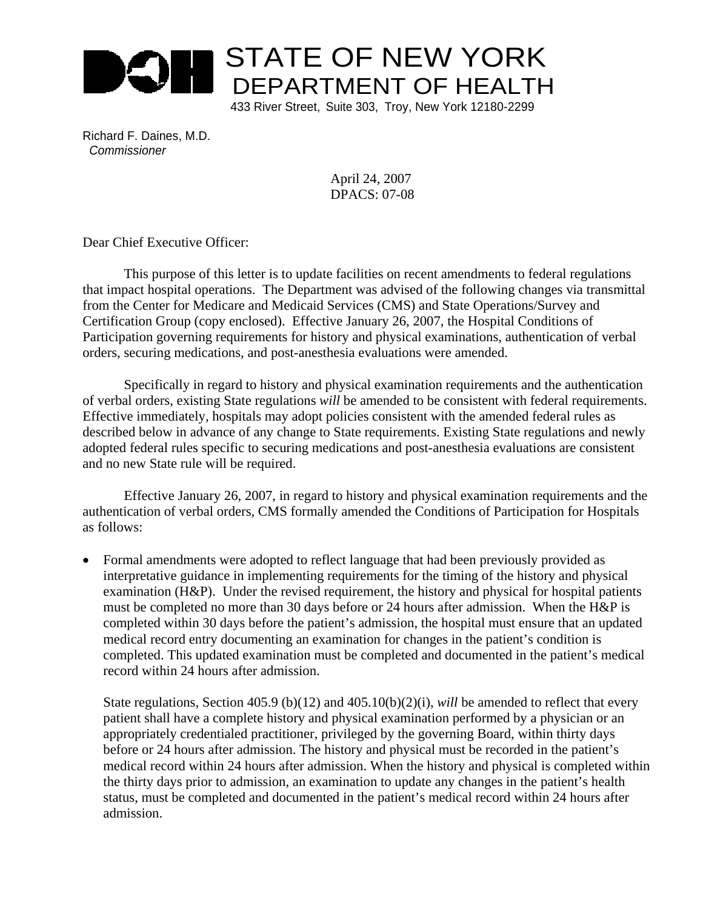

Richard F. Daines, M.D. *Commissioner*

> April 24, 2007 DPACS: 07-08

Dear Chief Executive Officer:

 This purpose of this letter is to update facilities on recent amendments to federal regulations that impact hospital operations. The Department was advised of the following changes via transmittal from the Center for Medicare and Medicaid Services (CMS) and State Operations/Survey and Certification Group (copy enclosed). Effective January 26, 2007, the Hospital Conditions of Participation governing requirements for history and physical examinations, authentication of verbal orders, securing medications, and post-anesthesia evaluations were amended.

 Specifically in regard to history and physical examination requirements and the authentication of verbal orders, existing State regulations *will* be amended to be consistent with federal requirements. Effective immediately, hospitals may adopt policies consistent with the amended federal rules as described below in advance of any change to State requirements. Existing State regulations and newly adopted federal rules specific to securing medications and post-anesthesia evaluations are consistent and no new State rule will be required.

 Effective January 26, 2007, in regard to history and physical examination requirements and the authentication of verbal orders, CMS formally amended the Conditions of Participation for Hospitals as follows:

• Formal amendments were adopted to reflect language that had been previously provided as interpretative guidance in implementing requirements for the timing of the history and physical examination (H&P). Under the revised requirement, the history and physical for hospital patients must be completed no more than 30 days before or 24 hours after admission. When the H&P is completed within 30 days before the patient's admission, the hospital must ensure that an updated medical record entry documenting an examination for changes in the patient's condition is completed. This updated examination must be completed and documented in the patient's medical record within 24 hours after admission.

State regulations, Section 405.9 (b)(12) and 405.10(b)(2)(i), *will* be amended to reflect that every patient shall have a complete history and physical examination performed by a physician or an appropriately credentialed practitioner, privileged by the governing Board, within thirty days before or 24 hours after admission. The history and physical must be recorded in the patient's medical record within 24 hours after admission. When the history and physical is completed within the thirty days prior to admission, an examination to update any changes in the patient's health status, must be completed and documented in the patient's medical record within 24 hours after admission.